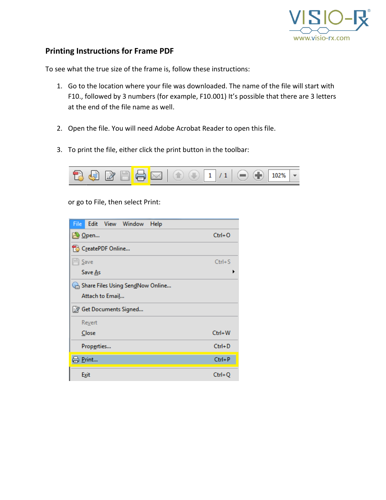

## **Printing Instructions for Frame PDF**

To see what the true size of the frame is, follow these instructions:

- 1. Go to the location where your file was downloaded. The name of the file will start with F10., followed by 3 numbers (for example, F10.001) It's possible that there are 3 letters at the end of the file name as well.
- 2. Open the file. You will need Adobe Acrobat Reader to open this file.
- 3. To print the file, either click the print button in the toolbar:



or go to File, then select Print:

| Edit View Window<br>File<br>Help |            |
|----------------------------------|------------|
| <b>2</b> Open                    | $Ctrl + O$ |
| F& CreatePDF Online              |            |
| $\mathbb{H}$ Save                | $Ctrl + S$ |
| Save As                          |            |
| Share Files Using SendNow Online |            |
| Attach to Email                  |            |
| Ret Documents Signed             |            |
| Revert                           |            |
| Close                            | $Ctrl + W$ |
| Properties                       | $Ctrl + D$ |
| Print                            | $Ctrl + P$ |
| Exit                             | $Ctrl + Q$ |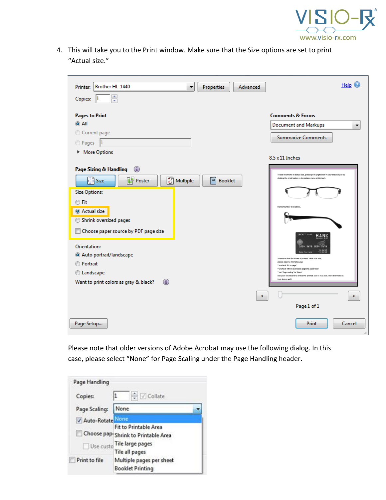

4. This will take you to the Print window. Make sure that the Size options are set to print "Actual size."

| Brother HL-1440<br>Printer:<br>▼                                                                                              | <b>Properties</b>        | Advanced | Help $\bigcirc$                                                                                                                                                      |
|-------------------------------------------------------------------------------------------------------------------------------|--------------------------|----------|----------------------------------------------------------------------------------------------------------------------------------------------------------------------|
| $\frac{1}{x}$<br>Copies:<br>11                                                                                                |                          |          |                                                                                                                                                                      |
| <b>Pages to Print</b>                                                                                                         |                          |          | <b>Comments &amp; Forms</b>                                                                                                                                          |
| $\odot$ All<br>Current page                                                                                                   |                          |          | <b>Document and Markups</b><br>▼                                                                                                                                     |
| Pages 1                                                                                                                       |                          |          | <b>Summarize Comments</b>                                                                                                                                            |
| More Options                                                                                                                  |                          |          |                                                                                                                                                                      |
|                                                                                                                               |                          |          | $8.5 \times 11$ Inches                                                                                                                                               |
| $^\circledR$<br>Page Sizing & Handling<br><b>Poster</b><br>E<br>$\stackrel{\text{4.1}}{\longleftrightarrow}$ Size<br>Multiple | $\Box$<br><b>Booklet</b> |          | To see this frame in actual size, please print (right click in your browser; or by<br>choling the print button in the Adobe menu at the top).                        |
| <b>Size Options:</b>                                                                                                          |                          |          |                                                                                                                                                                      |
| <b>◎ Fit</b><br>Actual size                                                                                                   |                          |          | Frame Number #10.001U.                                                                                                                                               |
| Shrink oversized pages                                                                                                        |                          |          |                                                                                                                                                                      |
| Choose paper source by PDF page size                                                                                          |                          |          |                                                                                                                                                                      |
| Orientation:                                                                                                                  |                          |          | CREDIT CARD<br>BANK<br>1234 5678 1234 5678<br>None Surnane                                                                                                           |
| Auto portrait/landscape<br><b>Portrait</b>                                                                                    |                          |          | To ensure that the frame is printed 190% true size,<br>please observe the following:<br>" ancheck '9t to page"                                                       |
| C Landscape                                                                                                                   |                          |          | * uncheck 'shrink oversized gages to paper size'<br>" set 'Page scaling' to 'None'<br>Use your credit card to check the printed card is true size. Then the frame is |
| $\odot$<br>Want to print colors as gray & black?                                                                              |                          |          | true size as well.                                                                                                                                                   |
|                                                                                                                               |                          | K        | >                                                                                                                                                                    |
|                                                                                                                               |                          |          | Page 1 of 1                                                                                                                                                          |
| Page Setup                                                                                                                    |                          |          | Print<br>Cancel                                                                                                                                                      |

Please note that older versions of Adobe Acrobat may use the following dialog. In this case, please select "None" for Page Scaling under the Page Handling header.

| Page Handling |                                                                                                     |
|---------------|-----------------------------------------------------------------------------------------------------|
| Copies:       | $\frac{1}{2}$ $\sqrt{ }$ Collate                                                                    |
| Page Scaling: | None                                                                                                |
| V Auto-Rotate | None                                                                                                |
| Use custo     | Fit to Printable Area<br>Choose papi Shrink to Printable Area<br>Tile large pages<br>Tile all pages |
| Print to file | Multiple pages per sheet<br><b>Booklet Printing</b>                                                 |